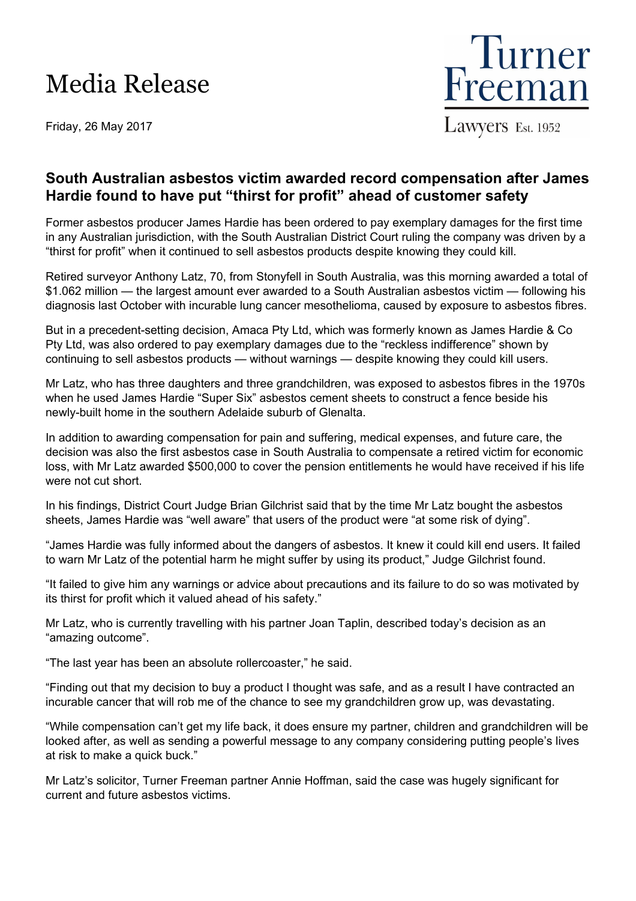## Media Release

Friday, 26 May 2017



## **South Australian asbestos victim awarded record compensation after James Hardie found to have put "thirst for profit" ahead of customer safety**

Former asbestos producer James Hardie has been ordered to pay exemplary damages for the first time in any Australian jurisdiction, with the South Australian District Court ruling the company was driven by a "thirst for profit" when it continued to sell asbestos products despite knowing they could kill.

Retired surveyor Anthony Latz, 70, from Stonyfell in South Australia, was this morning awarded a total of \$1.062 million — the largest amount ever awarded to a South Australian asbestos victim — following his diagnosis last October with incurable lung cancer mesothelioma, caused by exposure to asbestos fibres.

But in a precedent-setting decision, Amaca Pty Ltd, which was formerly known as James Hardie & Co Pty Ltd, was also ordered to pay exemplary damages due to the "reckless indifference" shown by continuing to sell asbestos products — without warnings — despite knowing they could kill users.

Mr Latz, who has three daughters and three grandchildren, was exposed to asbestos fibres in the 1970s when he used James Hardie "Super Six" asbestos cement sheets to construct a fence beside his newly-built home in the southern Adelaide suburb of Glenalta.

In addition to awarding compensation for pain and suffering, medical expenses, and future care, the decision was also the first asbestos case in South Australia to compensate a retired victim for economic loss, with Mr Latz awarded \$500,000 to cover the pension entitlements he would have received if his life were not cut short.

In his findings, District Court Judge Brian Gilchrist said that by the time Mr Latz bought the asbestos sheets, James Hardie was "well aware" that users of the product were "at some risk of dying".

"James Hardie was fully informed about the dangers of asbestos. It knew it could kill end users. It failed to warn Mr Latz of the potential harm he might suffer by using its product," Judge Gilchrist found.

"It failed to give him any warnings or advice about precautions and its failure to do so was motivated by its thirst for profit which it valued ahead of his safety."

Mr Latz, who is currently travelling with his partner Joan Taplin, described today's decision as an "amazing outcome".

"The last year has been an absolute rollercoaster," he said.

"Finding out that my decision to buy a product I thought was safe, and as a result I have contracted an incurable cancer that will rob me of the chance to see my grandchildren grow up, was devastating.

"While compensation can't get my life back, it does ensure my partner, children and grandchildren will be looked after, as well as sending a powerful message to any company considering putting people's lives at risk to make a quick buck."

Mr Latz's solicitor, Turner Freeman partner Annie Hoffman, said the case was hugely significant for current and future asbestos victims.